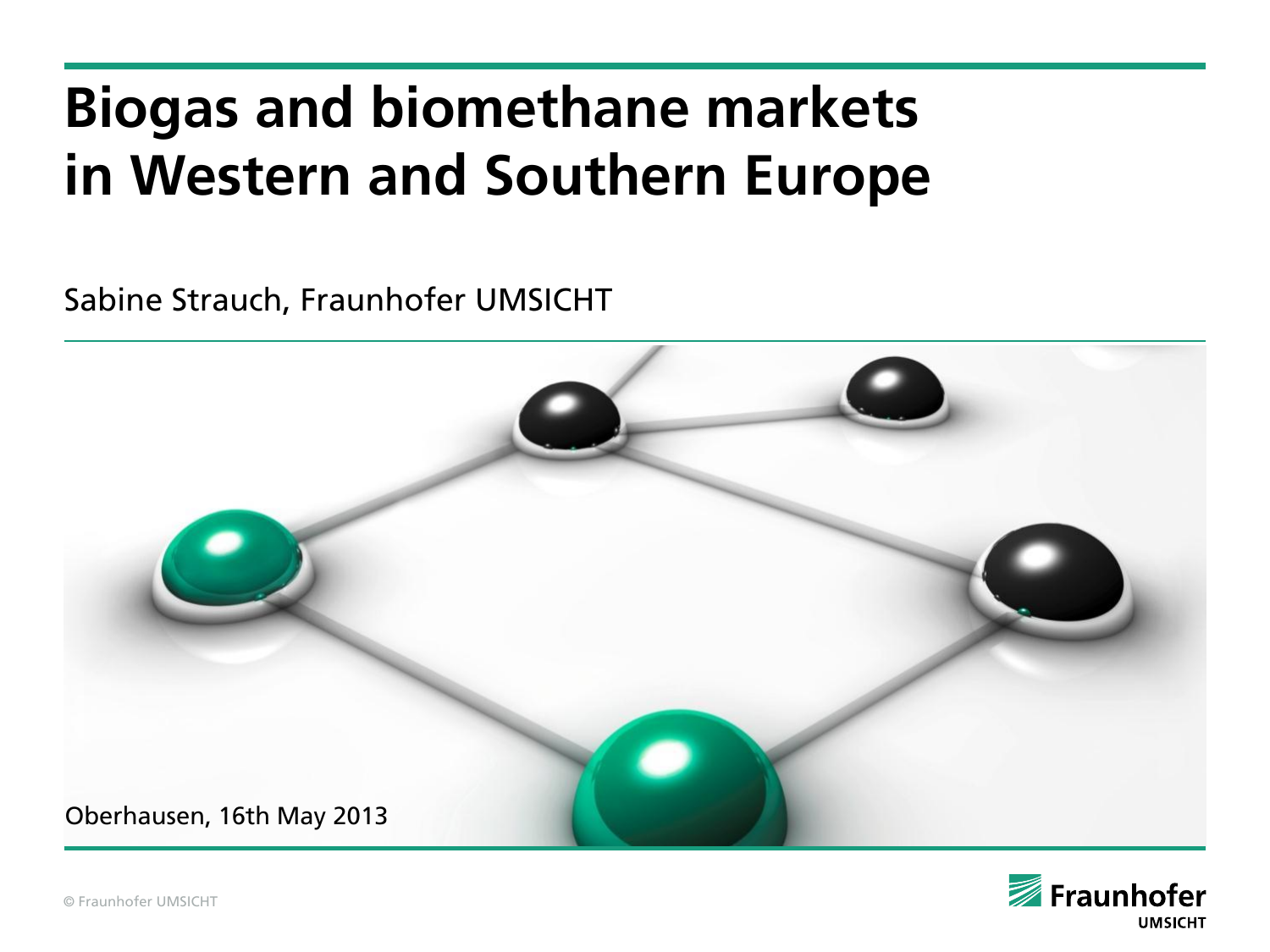# **Biogas and biomethane markets in Western and Southern Europe**

Sabine Strauch, Fraunhofer UMSICHT



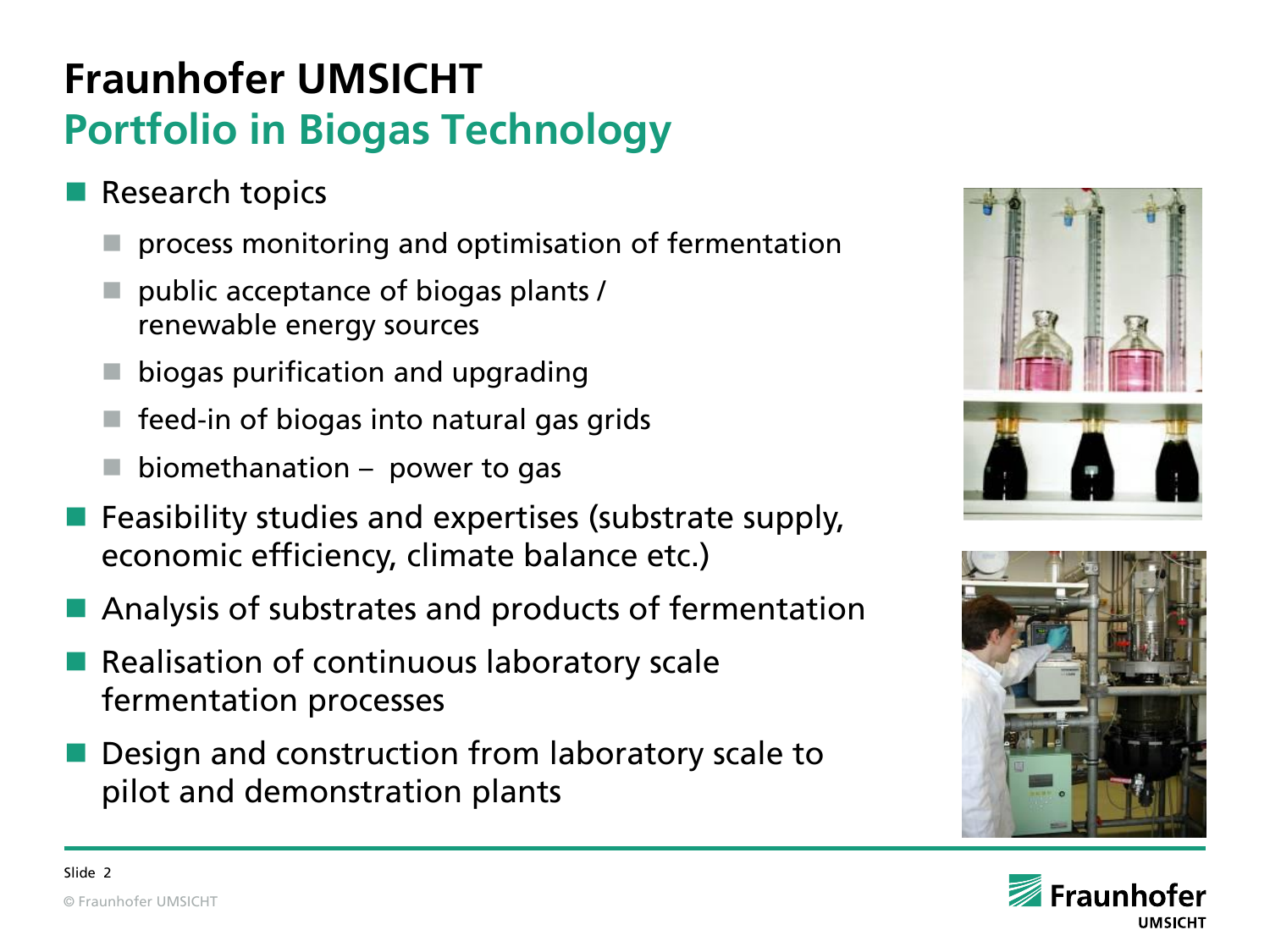## **Fraunhofer UMSICHT Portfolio in Biogas Technology**

- Research topics
	- process monitoring and optimisation of fermentation
	- public acceptance of biogas plants / renewable energy sources
	- biogas purification and upgrading
	- feed-in of biogas into natural gas grids
	- biomethanation power to gas
- Feasibility studies and expertises (substrate supply, economic efficiency, climate balance etc.)
- Analysis of substrates and products of fermentation
- Realisation of continuous laboratory scale fermentation processes
- Design and construction from laboratory scale to pilot and demonstration plants





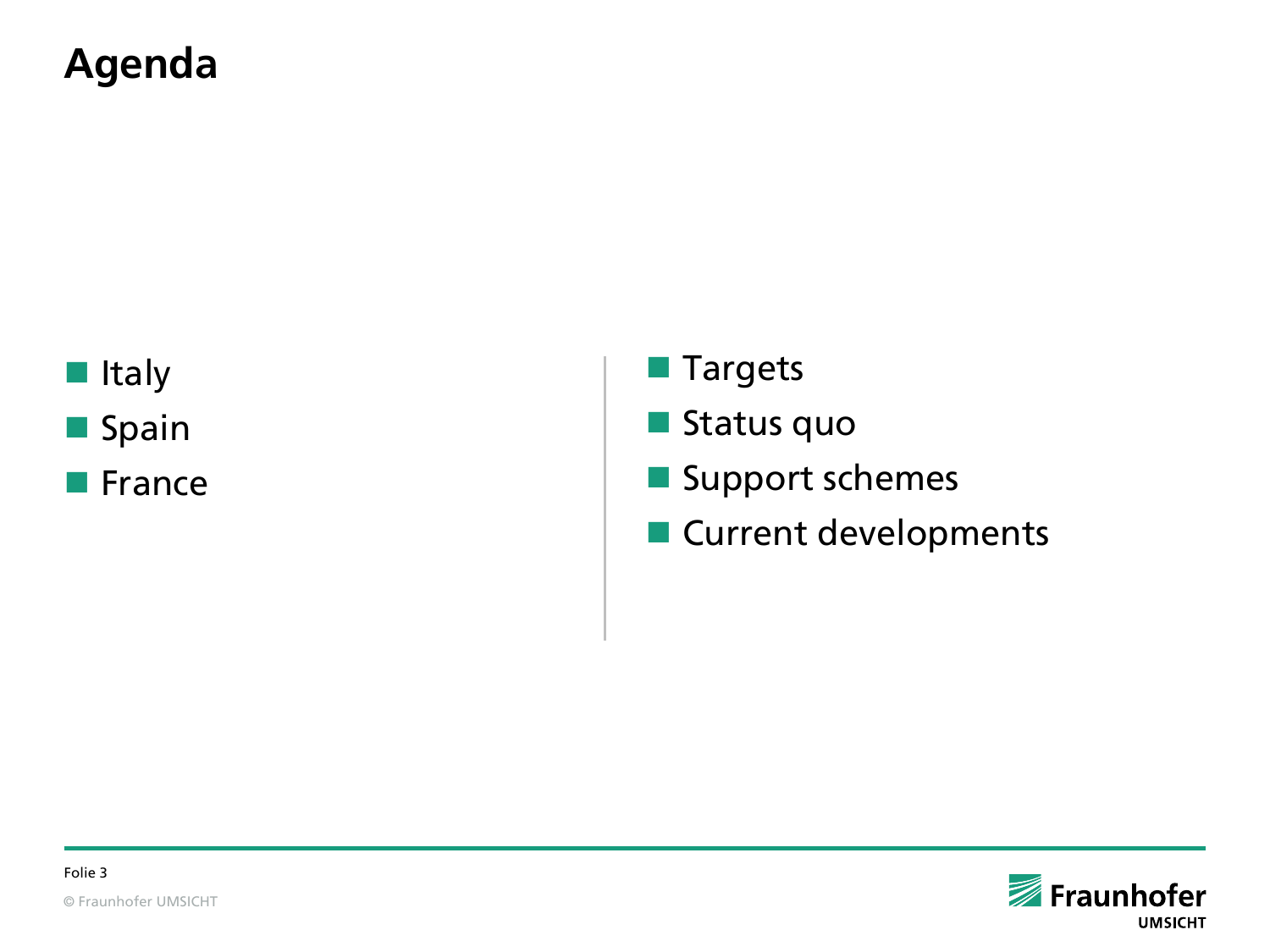#### **Agenda**

**I**Italy **Spain** 

**E** France

**Targets** 

**Status quo** 

Support schemes

**Current developments** 

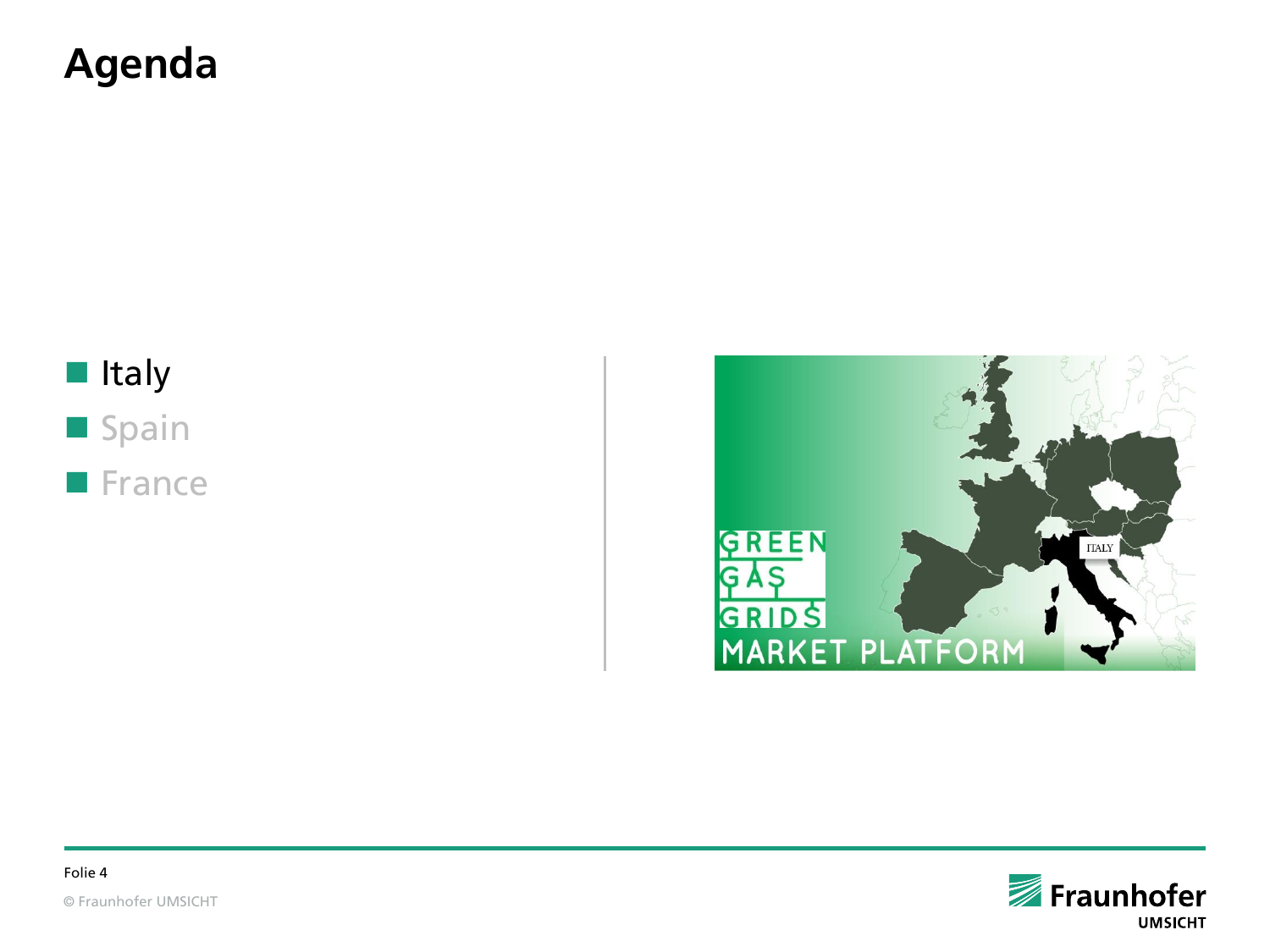#### **Agenda**

#### Italy **Spain France**







© Fraunhofer UMSICHT Folie 4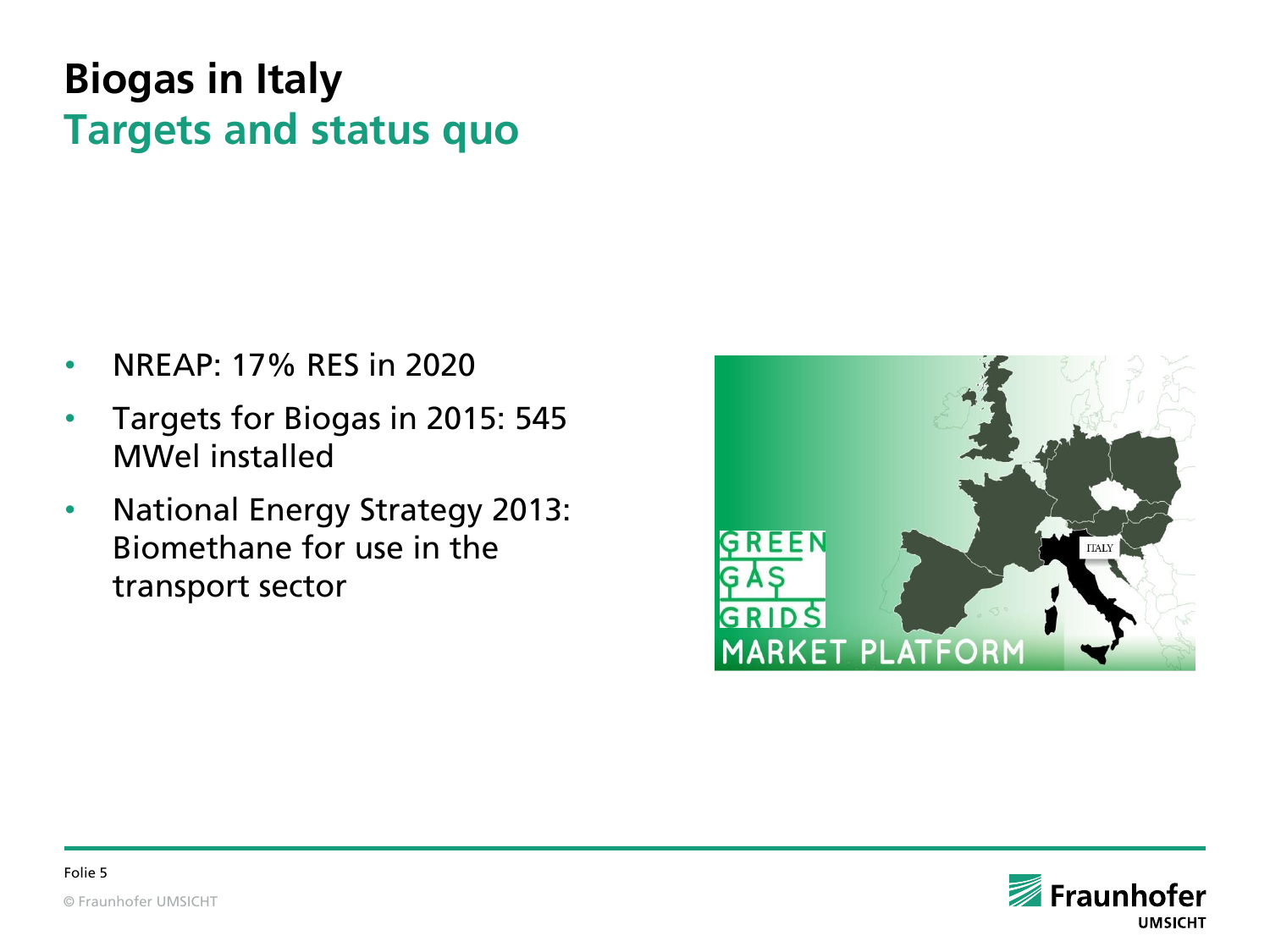### **Biogas in Italy Targets and status quo**

- NREAP: 17% RES in 2020
- Targets for Biogas in 2015: 545 MWel installed
- National Energy Strategy 2013: Biomethane for use in the transport sector



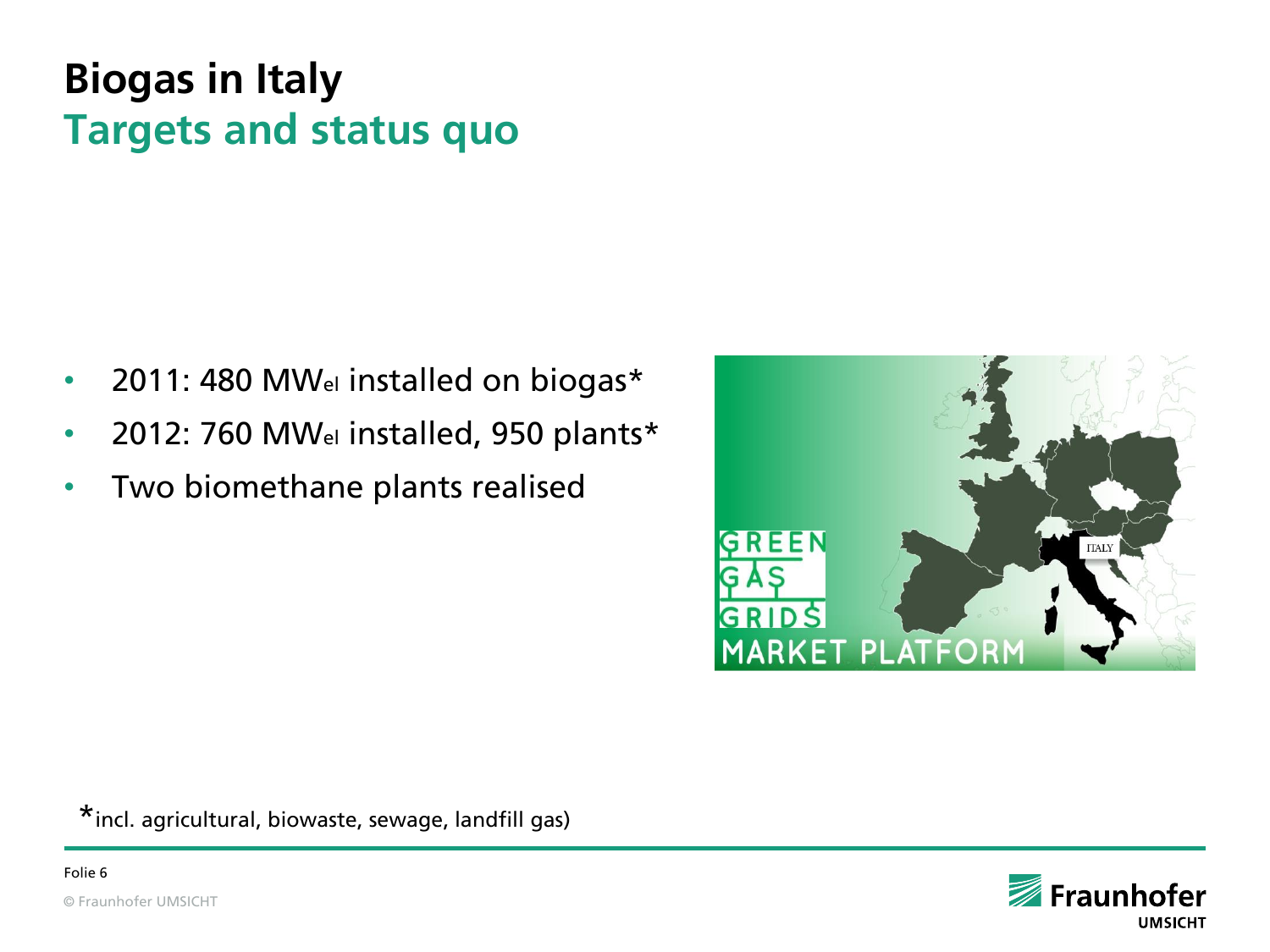### **Biogas in Italy Targets and status quo**

- 2011: 480 MWel installed on biogas\*
- 2012: 760 MWel installed, 950 plants\*
- Two biomethane plants realised



\*incl. agricultural, biowaste, sewage, landfill gas)

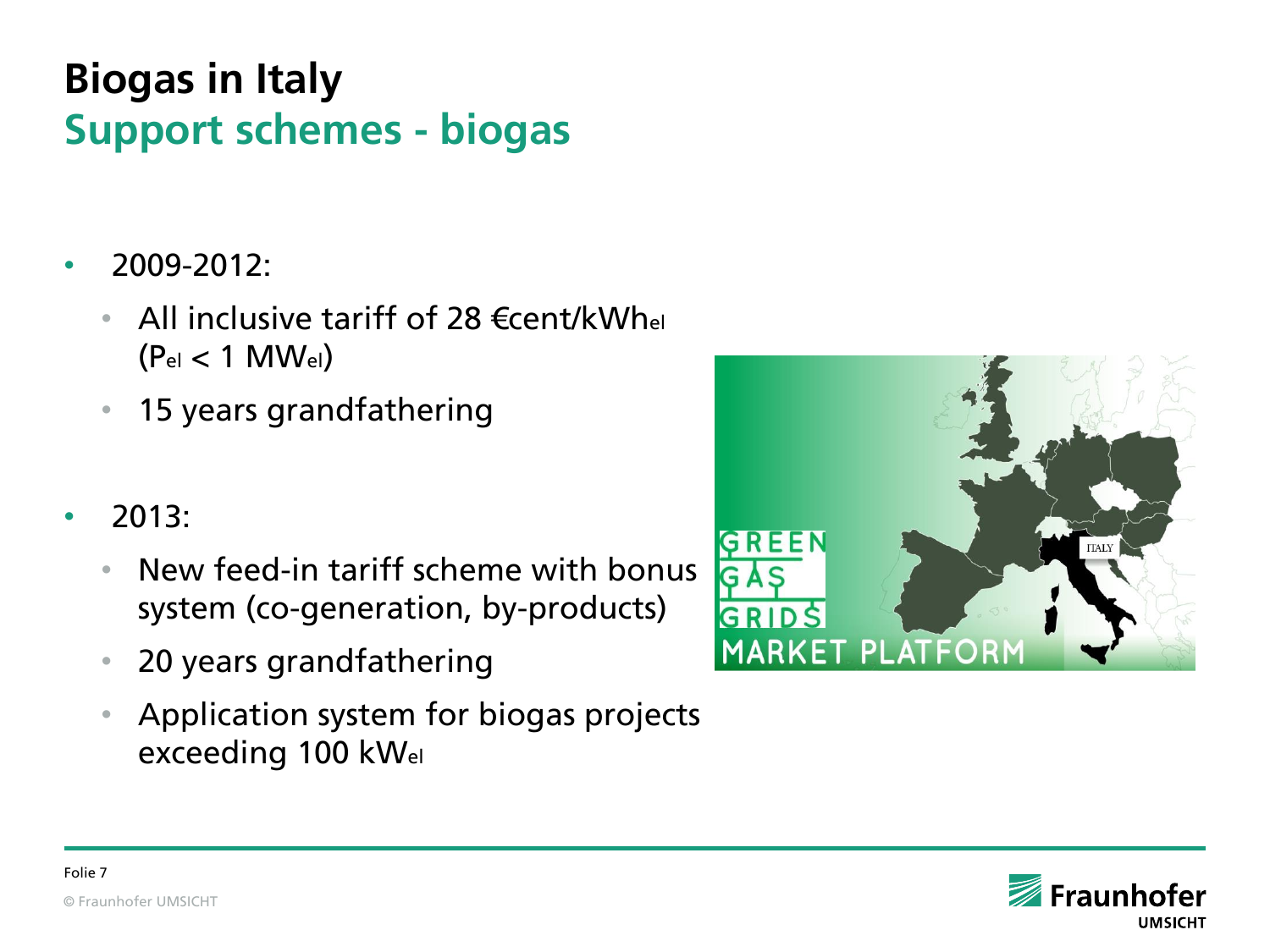## **Biogas in Italy Support schemes - biogas**

- 2009-2012:
	- All inclusive tariff of 28  $\epsilon$ cent/kWhel  $(P_{el} < 1$  MW $_{el}$ )
	- 15 years grandfathering
- $2013:$ 
	- New feed-in tariff scheme with bonus system (co-generation, by-products)
	- 20 years grandfathering
	- Application system for biogas projects exceeding 100 kWel



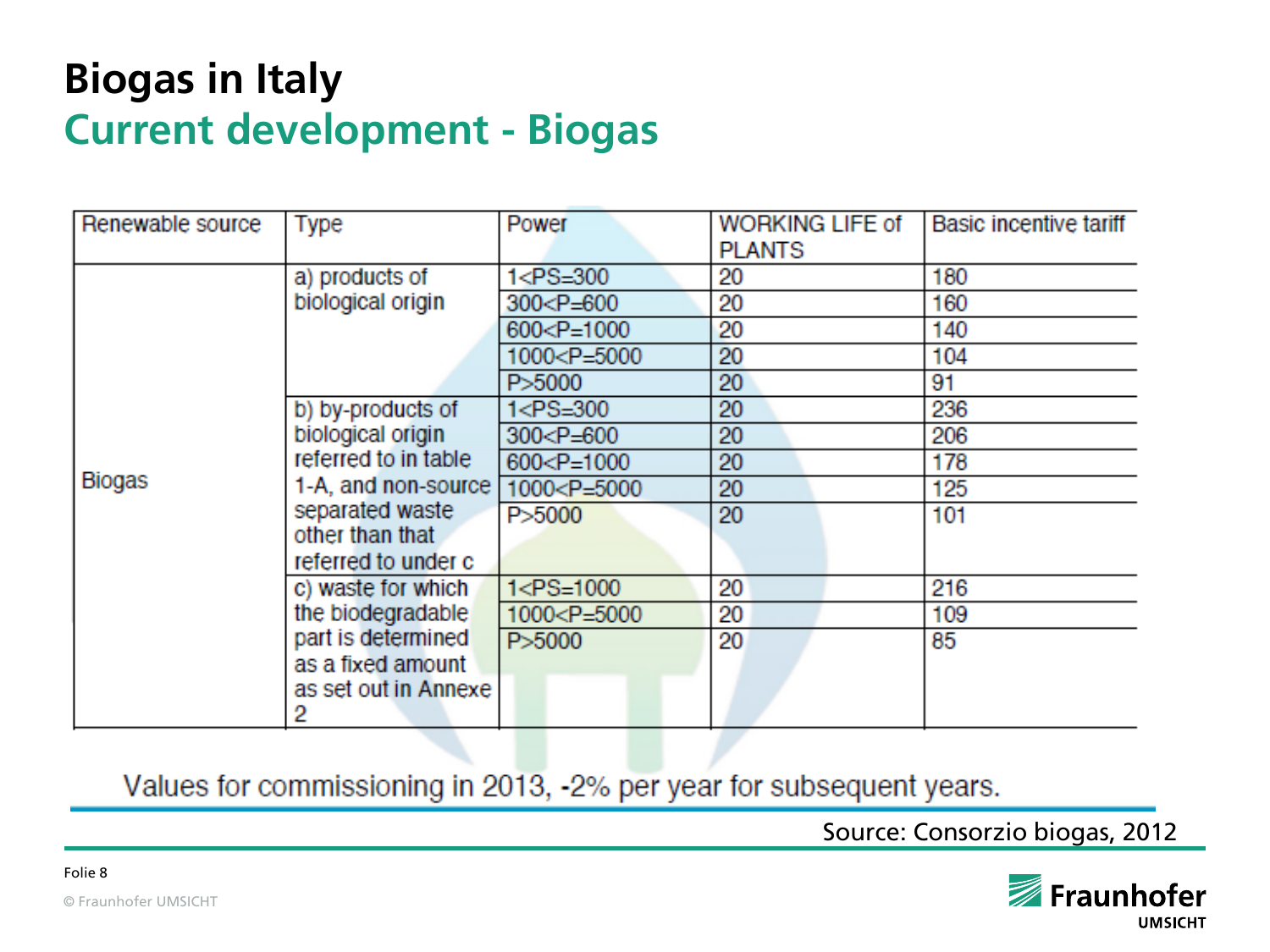#### **Biogas in Italy Current development - Biogas**

| Renewable source | Type                                                      | Power                                                 | <b>WORKING LIFE of</b><br><b>PLANTS</b> | <b>Basic incentive tariff</b> |
|------------------|-----------------------------------------------------------|-------------------------------------------------------|-----------------------------------------|-------------------------------|
| <b>Biogas</b>    | a) products of                                            | $1 < P S = 300$                                       | 20                                      | 180                           |
|                  | biological origin                                         | $300 < P = 600$                                       | 20                                      | 160                           |
|                  |                                                           | 600 <p=1000< td=""><td>20</td><td>140</td></p=1000<>  | 20                                      | 140                           |
|                  |                                                           | 1000 <p=5000< td=""><td>20</td><td>104</td></p=5000<> | 20                                      | 104                           |
|                  |                                                           | P>5000                                                | 20                                      | 91                            |
|                  | b) by-products of                                         | 1 <ps=300< td=""><td>20</td><td>236</td></ps=300<>    | 20                                      | 236                           |
|                  | biological origin                                         | $300 < P = 600$                                       | 20                                      | 206                           |
|                  | referred to in table                                      | $600 < P = 1000$                                      | 20                                      | 178                           |
|                  | 1-A, and non-source [                                     | 1000 <p=5000< td=""><td>20</td><td>125</td></p=5000<> | 20                                      | 125                           |
|                  | separated waste<br>other than that<br>referred to under c | P>5000                                                | 20                                      | 101                           |
|                  | c) waste for which                                        | $1 < P S = 1000$                                      | 20                                      | 216                           |
|                  | the biodegradable                                         | 1000 <p=5000< td=""><td>20</td><td>109</td></p=5000<> | 20                                      | 109                           |
|                  | part is determined                                        | P>5000                                                | 20                                      | 85                            |
|                  | as a fixed amount                                         |                                                       |                                         |                               |
|                  | as set out in Annexe<br>2                                 |                                                       |                                         |                               |

Values for commissioning in 2013, -2% per year for subsequent years.

Source: Consorzio biogas, 2012

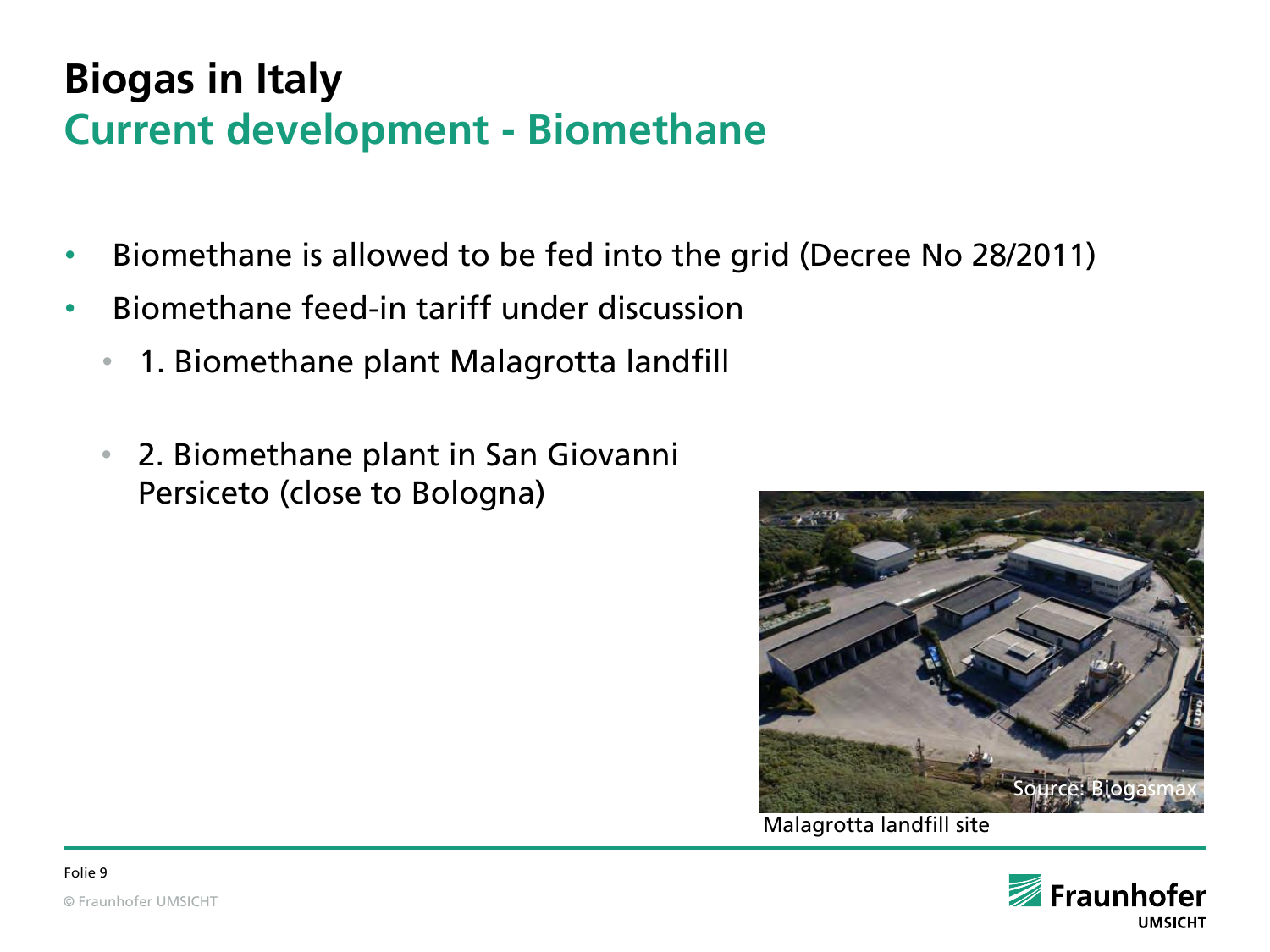#### **Biogas in Italy Current development - Biomethane**

- Biomethane is allowed to be fed into the grid (Decree No 28/2011)
- Biomethane feed-in tariff under discussion
	- 1. Biomethane plant Malagrotta landfill
	- 2. Biomethane plant in San Giovanni Persiceto (close to Bologna)



Malagrotta landfill site

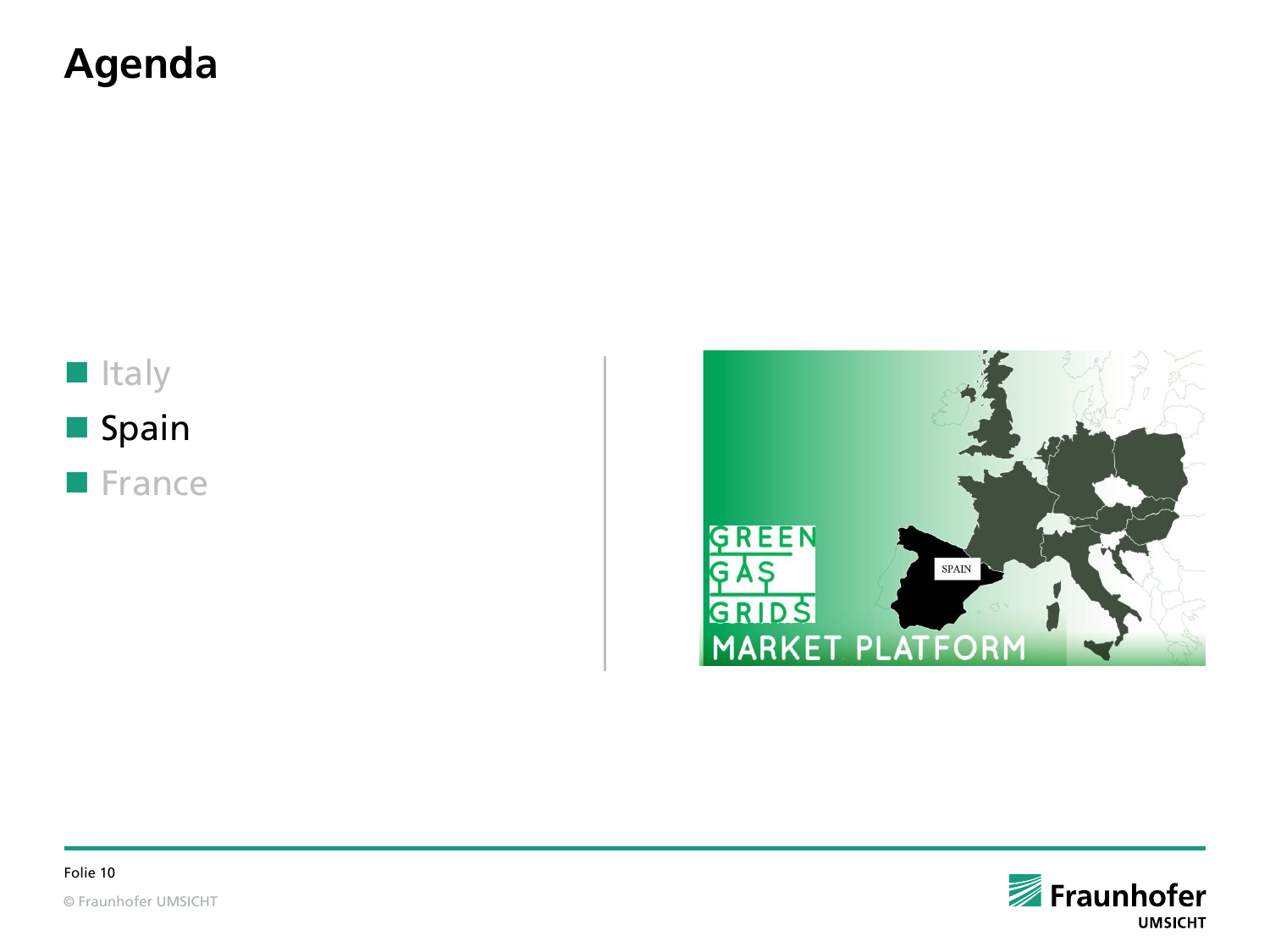#### **Agenda**

## **I**Italy **Spain**

**France** 



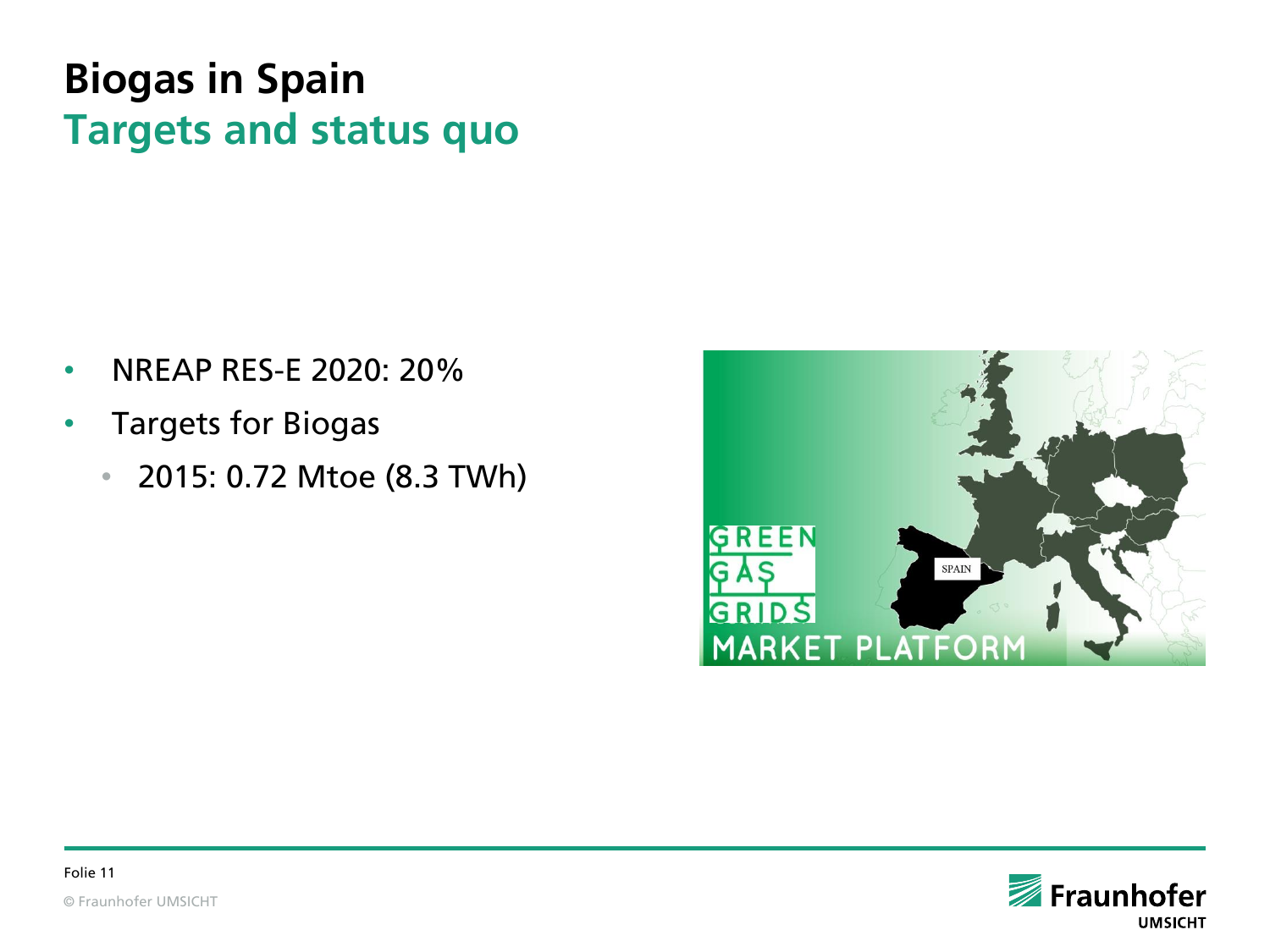### **Biogas in Spain Targets and status quo**

- NREAP RES-E 2020: 20%
- Targets for Biogas
	- 2015: 0.72 Mtoe (8.3 TWh)



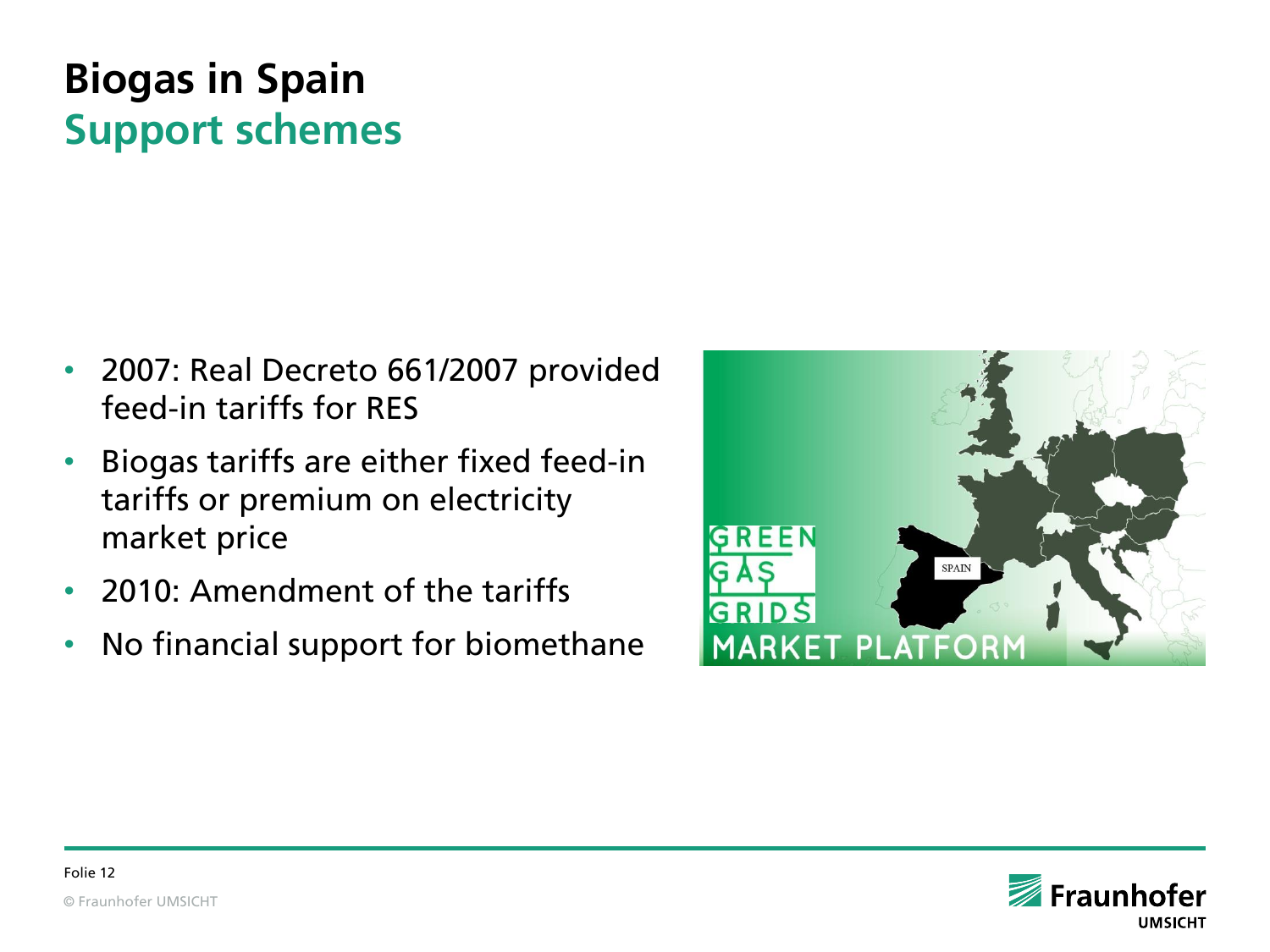## **Biogas in Spain Support schemes**

- 2007: Real Decreto 661/2007 provided feed-in tariffs for RES
- Biogas tariffs are either fixed feed-in tariffs or premium on electricity market price
- 2010: Amendment of the tariffs
- No financial support for biomethane



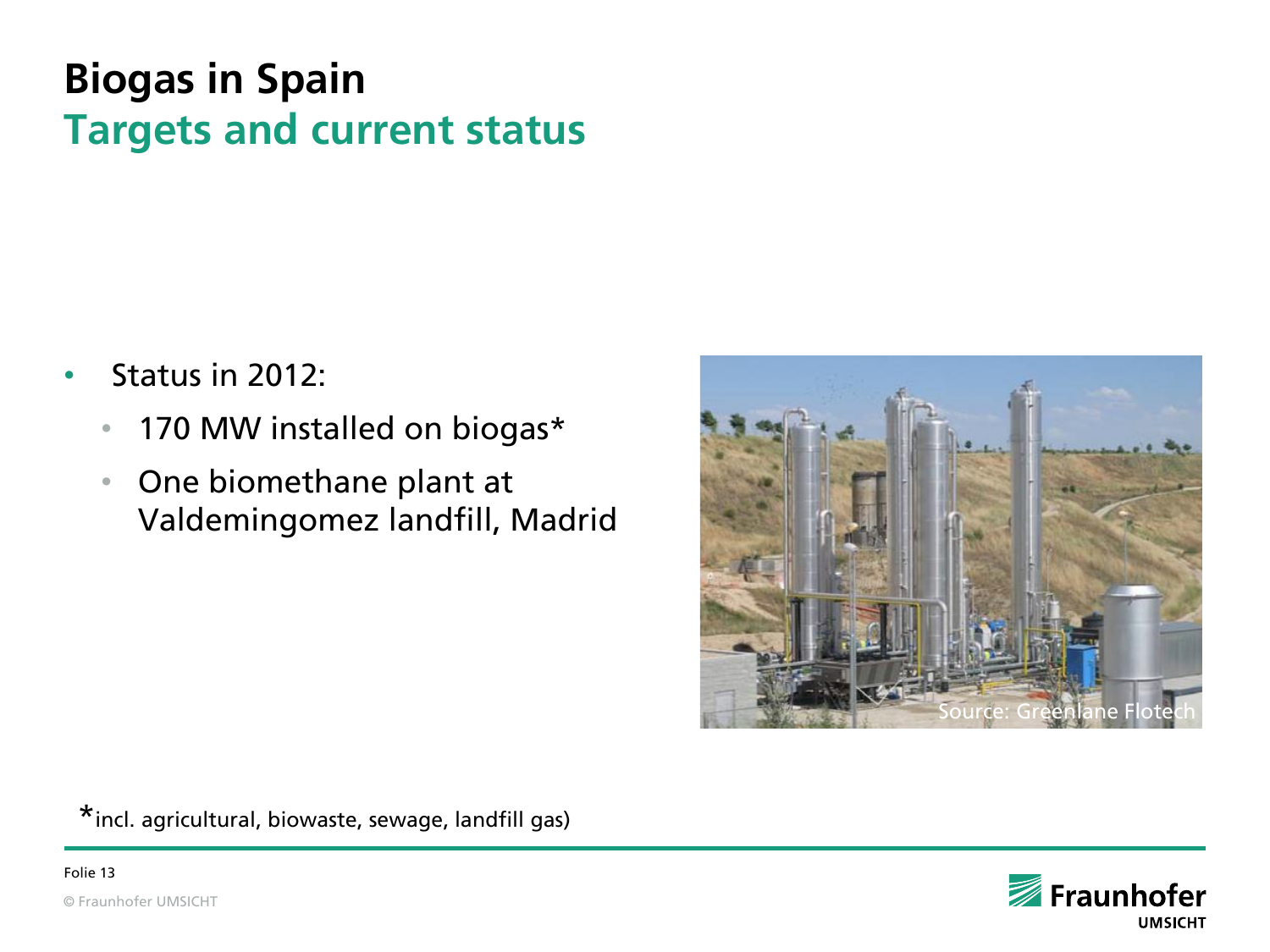## **Biogas in Spain Targets and current status**

- Status in 2012:
	- 170 MW installed on biogas\*
	- One biomethane plant at Valdemingomez landfill, Madrid



\*incl. agricultural, biowaste, sewage, landfill gas)

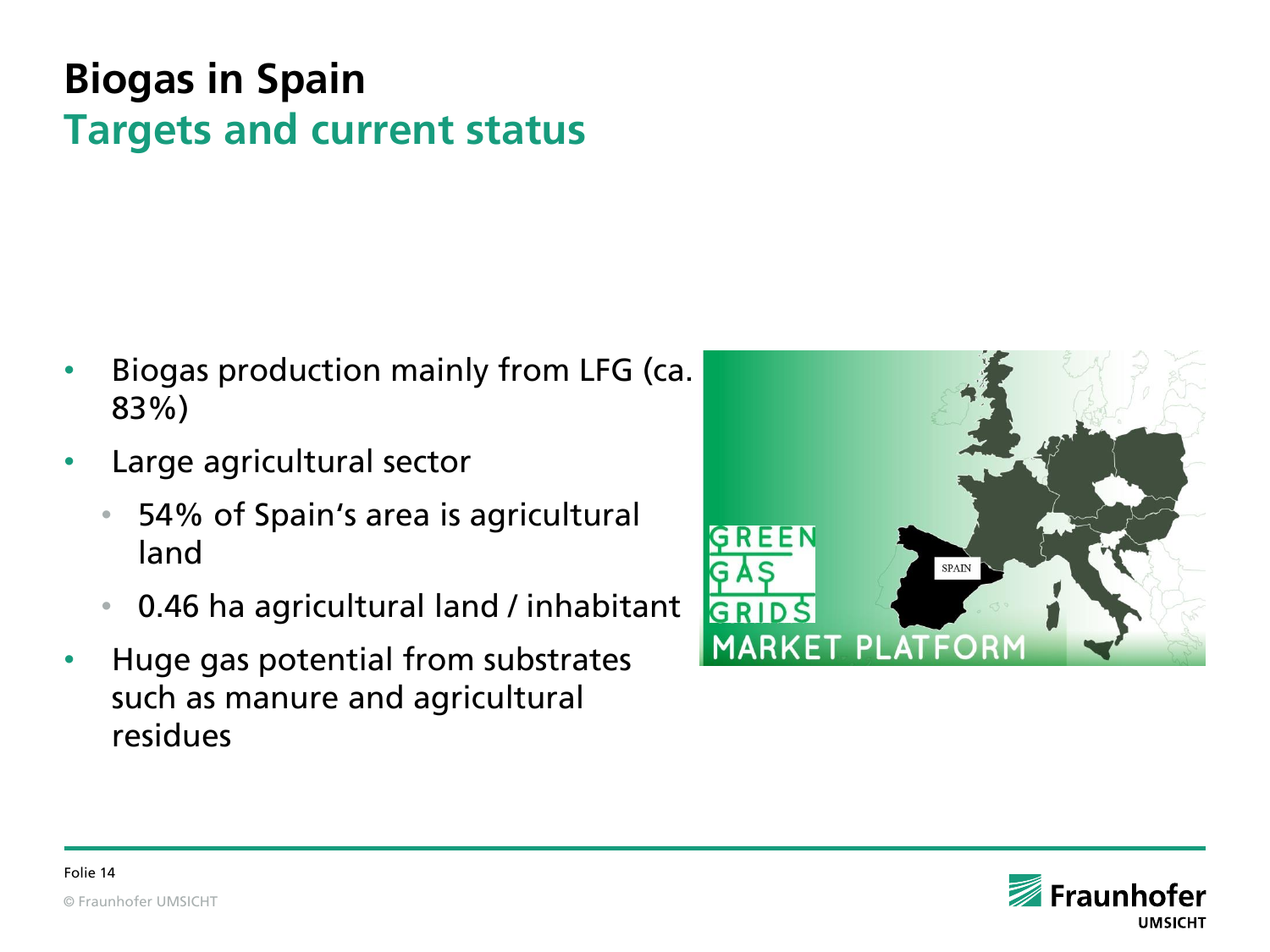## **Biogas in Spain Targets and current status**

- Biogas production mainly from LFG (ca. 83%)
- Large agricultural sector
	- 54% of Spain's area is agricultural land
	- 0.46 ha agricultural land / inhabitant
- Huge gas potential from substrates such as manure and agricultural residues



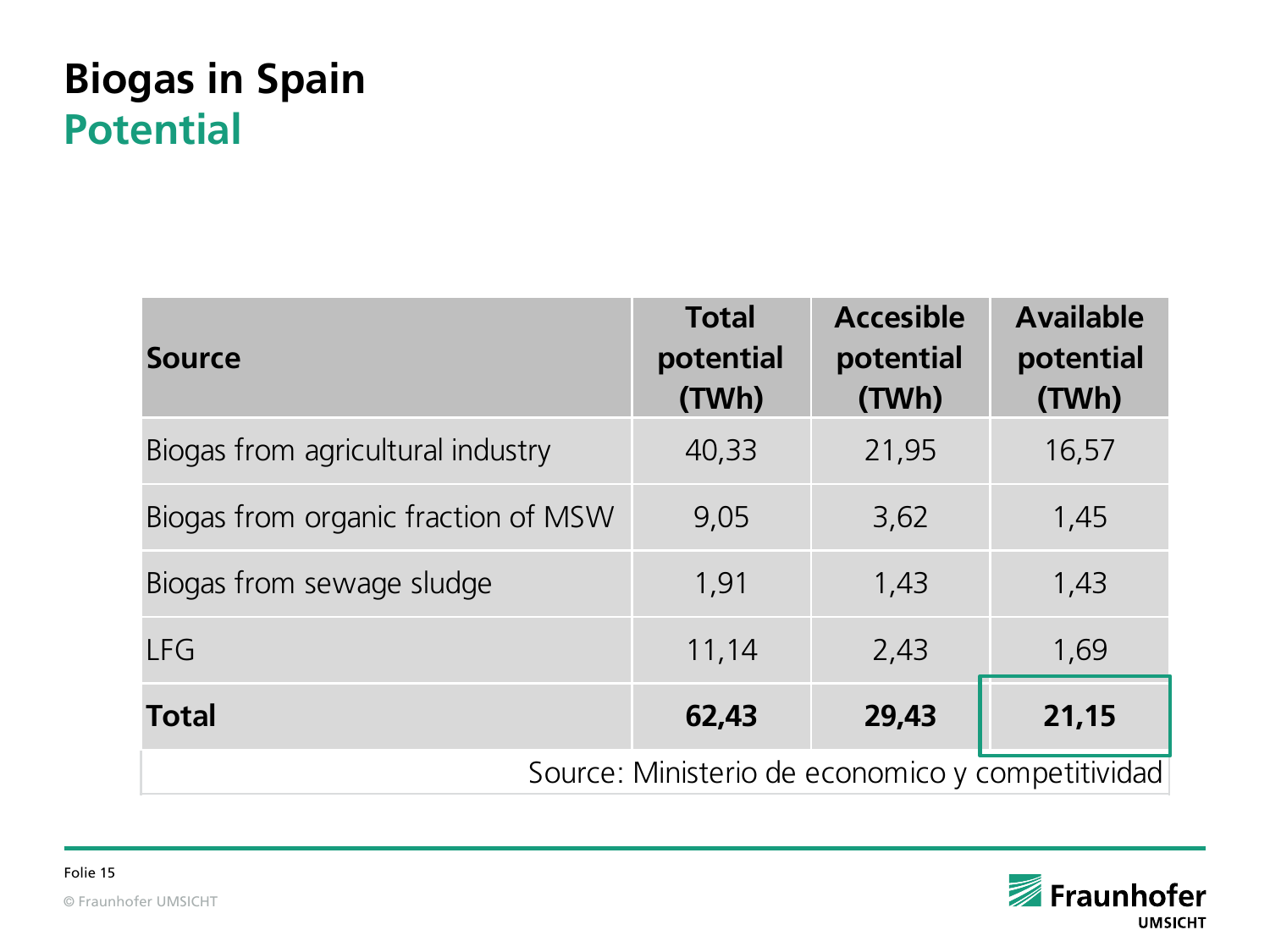#### **Biogas in Spain Potential**

| <b>Source</b>                                    | <b>Total</b><br>potential<br>(TWh) | <b>Accesible</b><br>potential<br>(TWh) | <b>Available</b><br>potential<br>(TWh) |  |
|--------------------------------------------------|------------------------------------|----------------------------------------|----------------------------------------|--|
| Biogas from agricultural industry                | 40,33                              | 21,95                                  | 16,57                                  |  |
| Biogas from organic fraction of MSW              | 9,05                               | 3,62                                   | 1,45                                   |  |
| Biogas from sewage sludge                        | 1,91                               | 1,43                                   | 1,43                                   |  |
| <b>LFG</b>                                       | 11,14                              | 2,43                                   | 1,69                                   |  |
| <b>Total</b>                                     | 62,43                              | 29,43                                  | 21,15                                  |  |
| Source: Ministerio de economico y competitividad |                                    |                                        |                                        |  |

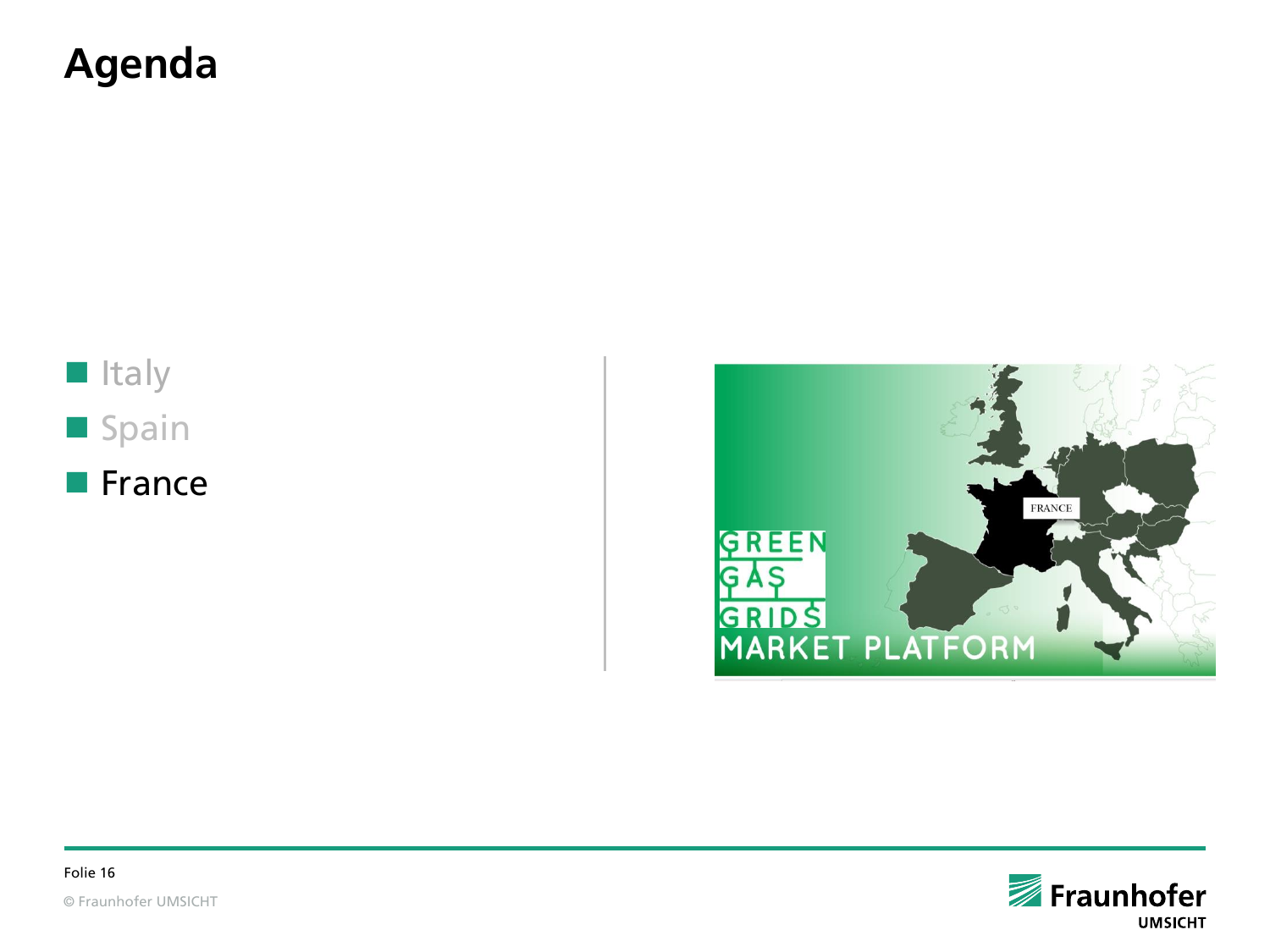#### **Agenda**



**France** 



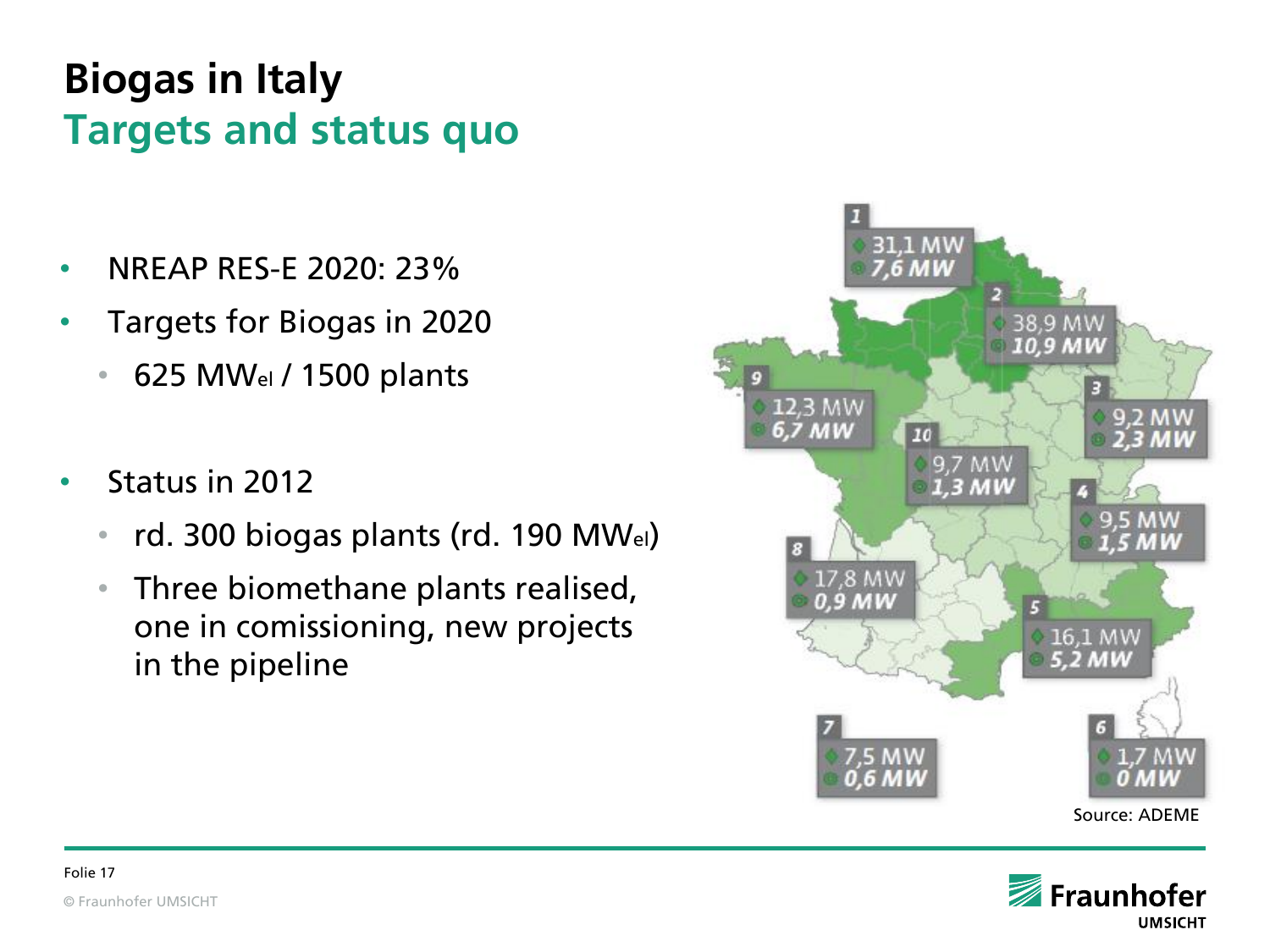### **Biogas in Italy Targets and status quo**

- NREAP RES-E 2020: 23%
- Targets for Biogas in 2020
	- 625 MWel / 1500 plants
- Status in 2012
	- rd. 300 biogas plants (rd. 190 MWel)
	- Three biomethane plants realised, one in comissioning, new projects in the pipeline



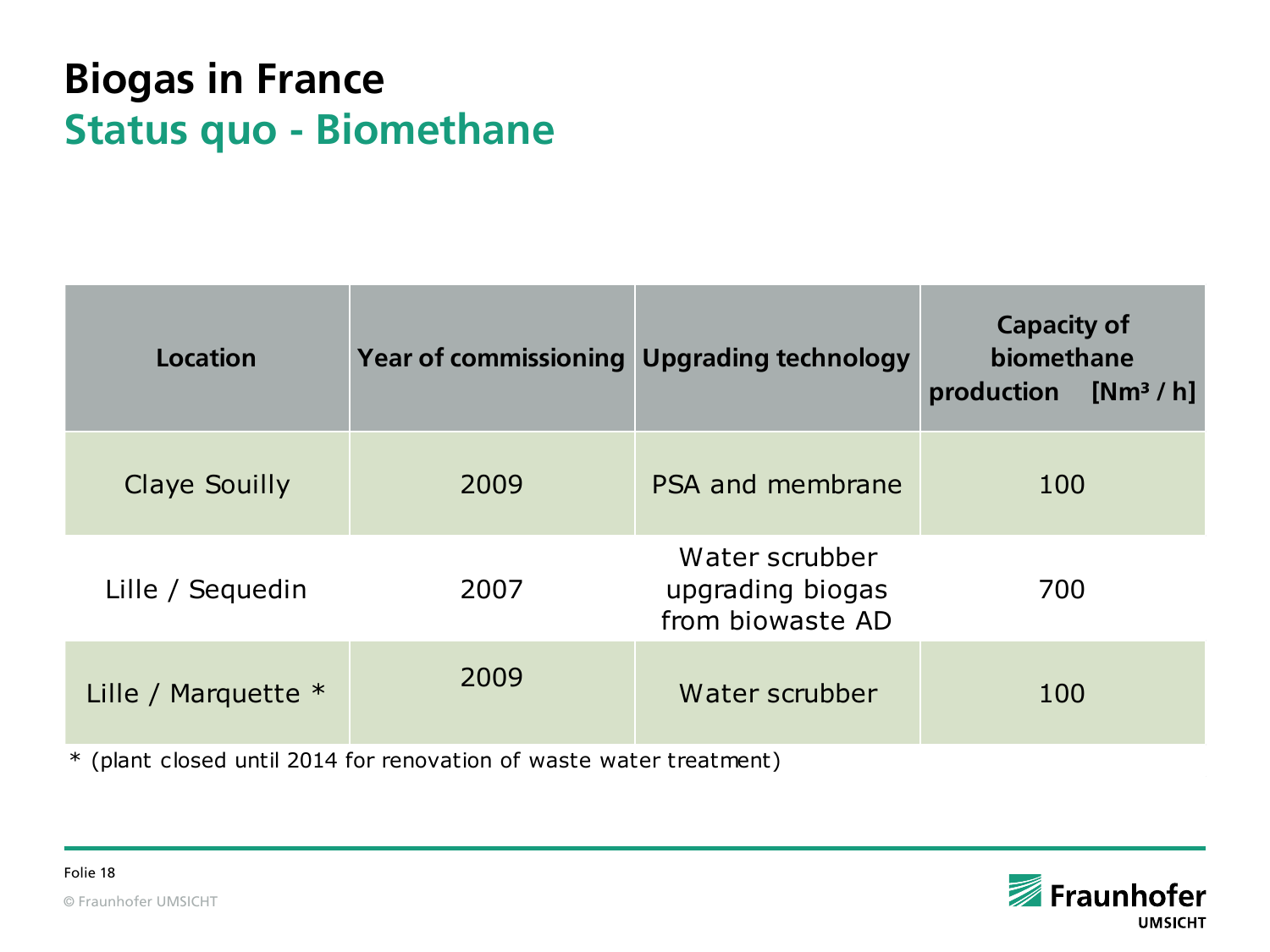#### **Biogas in France Status quo - Biomethane**

| Location                                                            | <b>Year of commissioning Upgrading technology</b> |                                                        | <b>Capacity of</b><br>biomethane<br>production [Nm <sup>3</sup> /h] |  |  |  |
|---------------------------------------------------------------------|---------------------------------------------------|--------------------------------------------------------|---------------------------------------------------------------------|--|--|--|
| Claye Souilly                                                       | 2009                                              | PSA and membrane                                       | 100                                                                 |  |  |  |
| Lille / Sequedin                                                    | 2007                                              | Water scrubber<br>upgrading biogas<br>from biowaste AD | 700                                                                 |  |  |  |
| Lille / Marquette $*$                                               | 2009                                              | Water scrubber                                         | 100                                                                 |  |  |  |
| * (plant closed until 2014 for renovation of waste water treatment) |                                                   |                                                        |                                                                     |  |  |  |

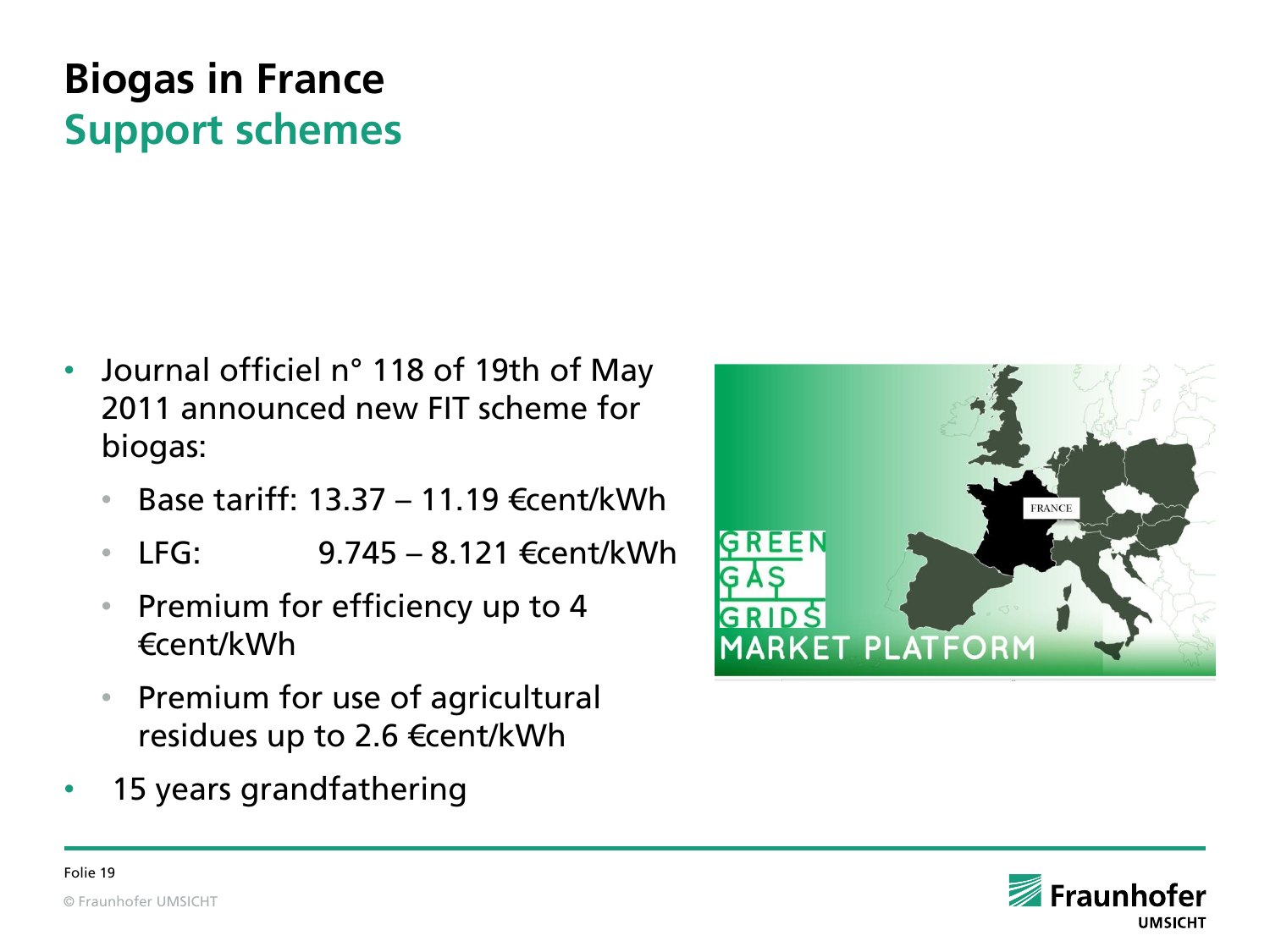## **Biogas in France Support schemes**

- Journal officiel n° 118 of 19th of May 2011 announced new FIT scheme for biogas:
	- Base tariff: 13.37 11.19 €cent/kWh
	- LFG: 9.745 8.121 €cent/kWh
	- Premium for efficiency up to 4 €cent/kWh
	- Premium for use of agricultural residues up to 2.6 €cent/kWh
- 15 years grandfathering



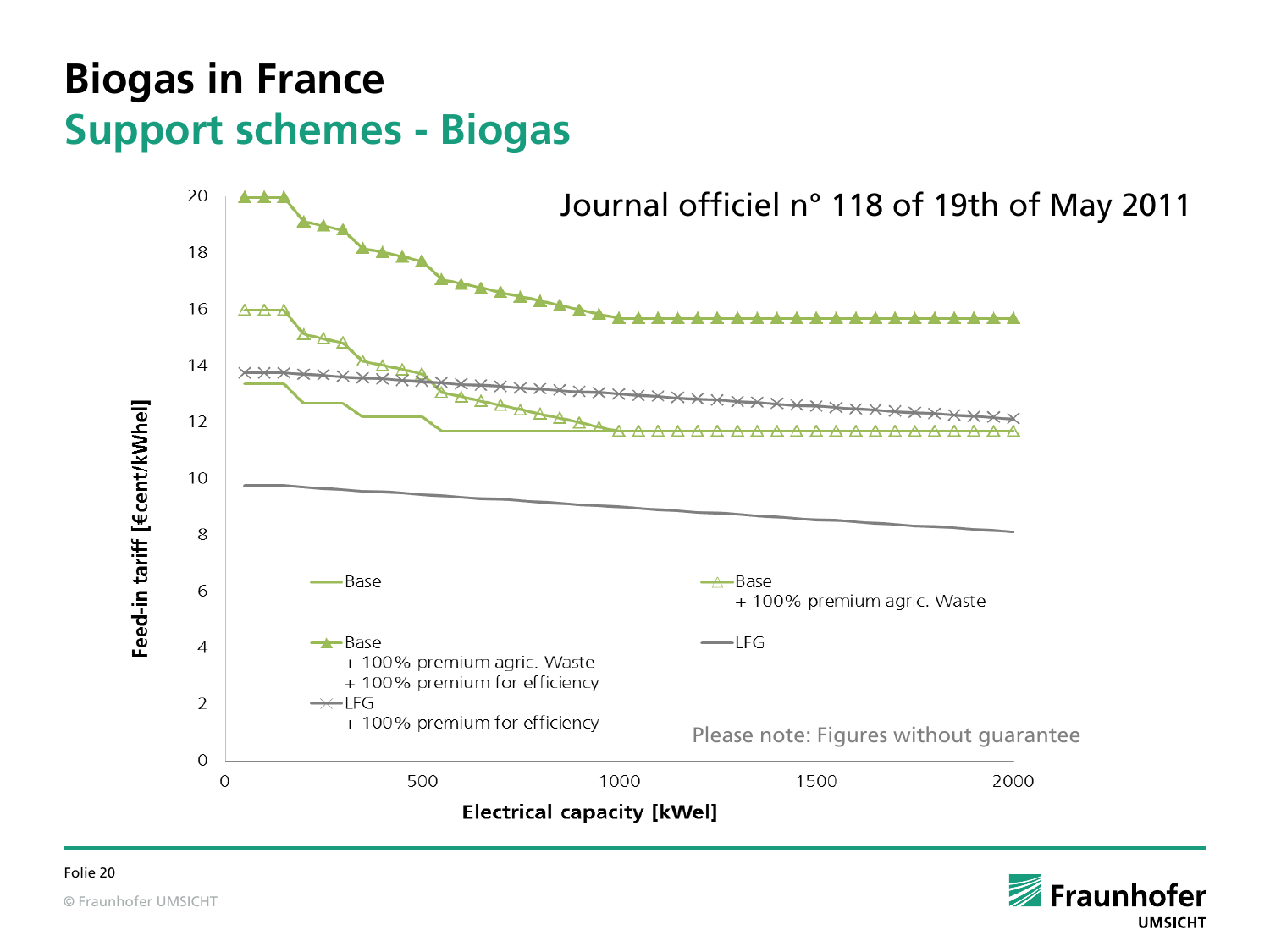#### **Biogas in France Support schemes - Biogas**



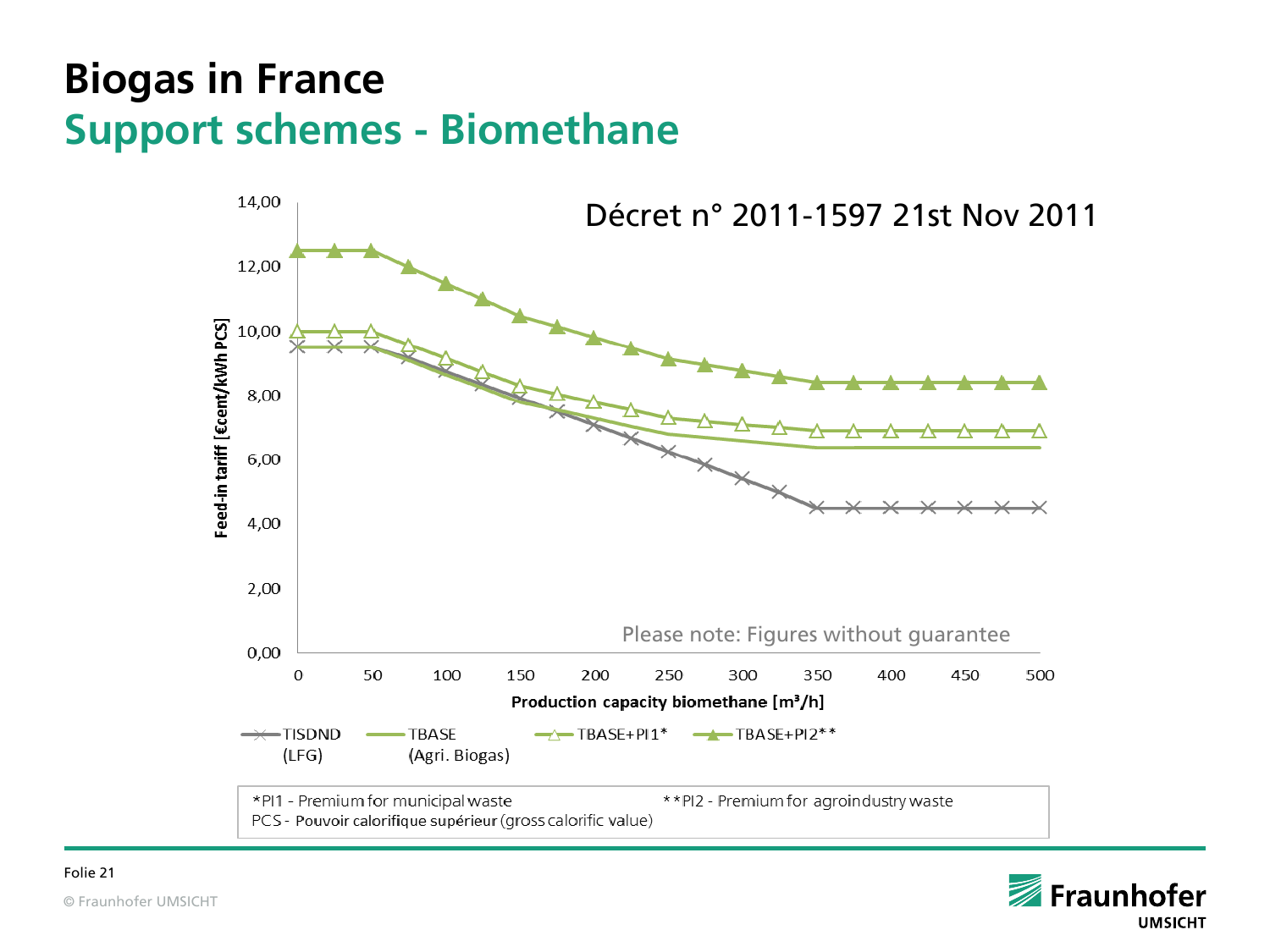#### **Biogas in France Support schemes - Biomethane**



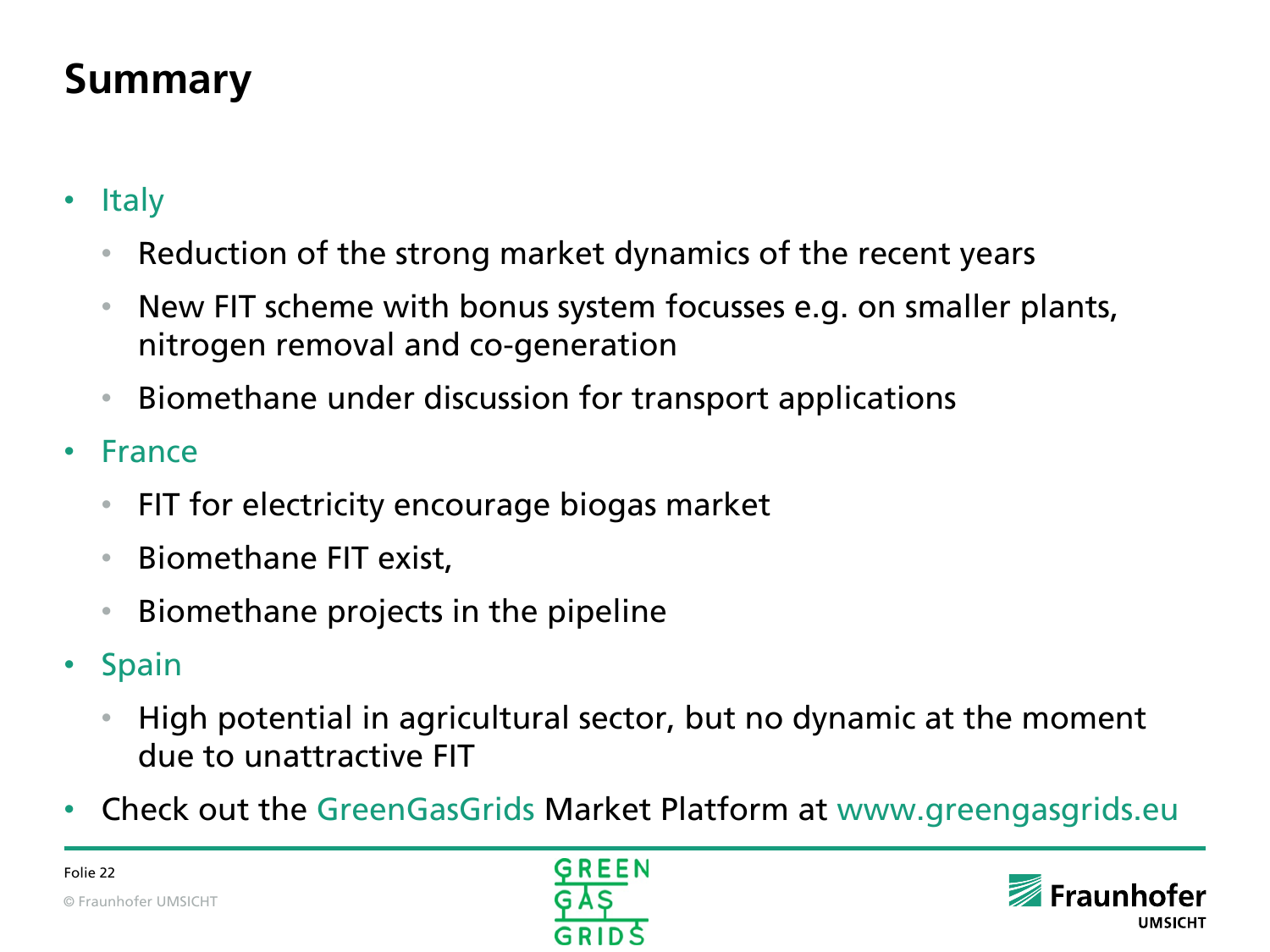### **Summary**

- Italy
	- Reduction of the strong market dynamics of the recent years
	- New FIT scheme with bonus system focusses e.g. on smaller plants, nitrogen removal and co-generation
	- Biomethane under discussion for transport applications
- France
	- FIT for electricity encourage biogas market
	- Biomethane FIT exist,
	- Biomethane projects in the pipeline
- Spain
	- High potential in agricultural sector, but no dynamic at the moment due to unattractive FIT
- Check out the GreenGasGrids Market Platform at www.greengasgrids.eu